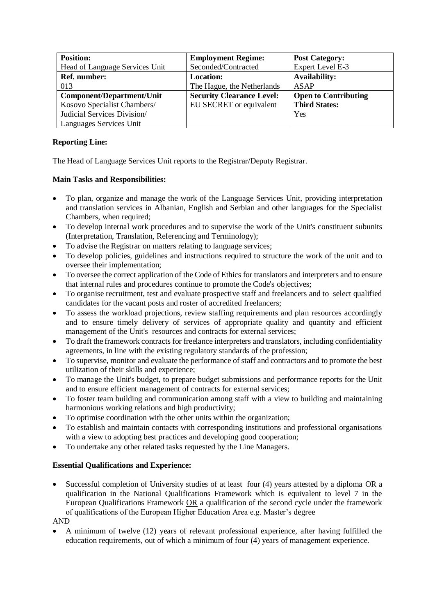| <b>Position:</b>               | <b>Employment Regime:</b>        | <b>Post Category:</b>       |
|--------------------------------|----------------------------------|-----------------------------|
| Head of Language Services Unit | Seconded/Contracted              | Expert Level E-3            |
| <b>Ref. number:</b>            | <b>Location:</b>                 | <b>Availability:</b>        |
| 013                            | The Hague, the Netherlands       | <b>ASAP</b>                 |
| Component/Department/Unit      | <b>Security Clearance Level:</b> | <b>Open to Contributing</b> |
| Kosovo Specialist Chambers/    | EU SECRET or equivalent          | <b>Third States:</b>        |
| Judicial Services Division/    |                                  | Yes                         |
| Languages Services Unit        |                                  |                             |

## **Reporting Line:**

The Head of Language Services Unit reports to the Registrar/Deputy Registrar.

## **Main Tasks and Responsibilities:**

- To plan, organize and manage the work of the Language Services Unit, providing interpretation and translation services in Albanian, English and Serbian and other languages for the Specialist Chambers, when required;
- To develop internal work procedures and to supervise the work of the Unit's constituent subunits (Interpretation, Translation, Referencing and Terminology);
- To advise the Registrar on matters relating to language services;
- To develop policies, guidelines and instructions required to structure the work of the unit and to oversee their implementation;
- To oversee the correct application of the Code of Ethics for translators and interpreters and to ensure that internal rules and procedures continue to promote the Code's objectives;
- To organise recruitment, test and evaluate prospective staff and freelancers and to select qualified candidates for the vacant posts and roster of accredited freelancers;
- To assess the workload projections, review staffing requirements and plan resources accordingly and to ensure timely delivery of services of appropriate quality and quantity and efficient management of the Unit's resources and contracts for external services;
- To draft the framework contracts for freelance interpreters and translators, including confidentiality agreements, in line with the existing regulatory standards of the profession;
- To supervise, monitor and evaluate the performance of staff and contractors and to promote the best utilization of their skills and experience;
- To manage the Unit's budget, to prepare budget submissions and performance reports for the Unit and to ensure efficient management of contracts for external services;
- To foster team building and communication among staff with a view to building and maintaining harmonious working relations and high productivity;
- To optimise coordination with the other units within the organization;
- To establish and maintain contacts with corresponding institutions and professional organisations with a view to adopting best practices and developing good cooperation;
- To undertake any other related tasks requested by the Line Managers.

## **Essential Qualifications and Experience:**

• Successful completion of University studies of at least four (4) years attested by a diploma OR a qualification in the National Qualifications Framework which is equivalent to level 7 in the European Qualifications Framework OR a qualification of the second cycle under the framework of qualifications of the European Higher Education Area e.g. Master's degree

AND

• A minimum of twelve (12) years of relevant professional experience, after having fulfilled the education requirements, out of which a minimum of four (4) years of management experience.